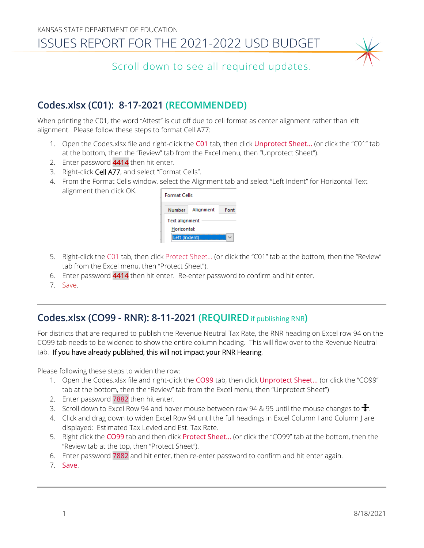

Scroll down to see all required updates.

# **Codes.xlsx (C01): 8-17-2021 (RECOMMENDED)**

When printing the C01, the word "Attest" is cut off due to cell format as center alignment rather than left alignment. Please follow these steps to format Cell A77:

- 1. Open the Codes.xlsx file and right-click the C01 tab, then click Unprotect Sheet... (or click the "C01" tab at the bottom, then the "Review" tab from the Excel menu, then "Unprotect Sheet").
- 2. Enter password 4414 then hit enter.
- 3. Right-click Cell A77, and select "Format Cells".
- 4. From the Format Cells window, select the Alignment tab and select "Left Indent" for Horizontal Text alignment then click OK.

| <b>Format Cells</b>           |           |      |
|-------------------------------|-----------|------|
| Number                        | Alignment | Eont |
| Text alignment<br>Horizontal: |           |      |
| findent)                      |           |      |

- 5. Right-click the C01 tab, then click Protect Sheet… (or click the "C01" tab at the bottom, then the "Review" tab from the Excel menu, then "Protect Sheet").
- 6. Enter password 4414 then hit enter. Re-enter password to confirm and hit enter.
- 7. Save.

### **Codes.xlsx (CO99 - RNR): 8-11-2021 (REQUIRED** if publishing RNR**)**

For districts that are required to publish the Revenue Neutral Tax Rate, the RNR heading on Excel row 94 on the CO99 tab needs to be widened to show the entire column heading. This will flow over to the Revenue Neutral tab. If you have already published, this will not impact your RNR Hearing.

- Please following these steps to widen the row: 1. Open the Codes.xlsx file and right-click the CO99 tab, then click Unprotect Sheet... (or click the "CO99"
	- tab at the bottom, then the "Review" tab from the Excel menu, then "Unprotect Sheet")
	- 2. Enter password 7882 then hit enter.
	- 3. Scroll down to Excel Row 94 and hover mouse between row 94 & 95 until the mouse changes to  $\bigoplus$ .
	- 4. Click and drag down to widen Excel Row 94 until the full headings in Excel Column I and Column J are displayed: Estimated Tax Levied and Est. Tax Rate.
	- 5. Right click the CO99 tab and then click Protect Sheet... (or click the "CO99" tab at the bottom, then the "Review tab at the top, then "Protect Sheet").
	- 6. Enter password 7882 and hit enter, then re-enter password to confirm and hit enter again.
	- 7. Save.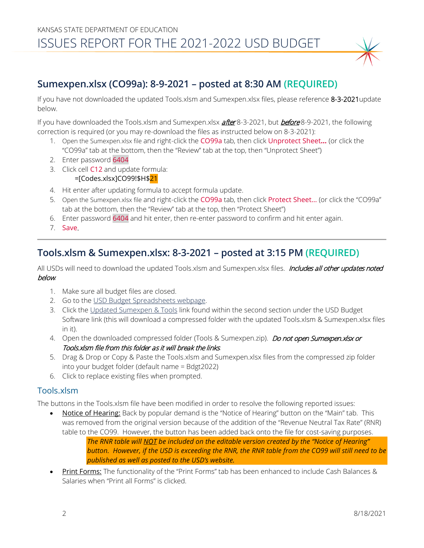## **Sumexpen.xlsx (CO99a): 8-9-2021 – posted at 8:30 AM (REQUIRED)**

If you have not downloaded the updated Tools.xlsm and Sumexpen.xlsx files, please reference 8-3-2021update below.

If you have downloaded the Tools.xlsm and Sumexpen.xlsx **after** 8-3-2021, but **before** 8-9-2021, the following correction is required (or you may re-download the files as instructed below on 8-3-2021):

- 1. Open the Sumexpen.xlsx file and right-click the CO99a tab, then click Unprotect Sheet**…** (or click the "CO99a" tab at the bottom, then the "Review" tab at the top, then "Unprotect Sheet")
- 2. Enter password 6404
- 3. Click cell C12 and update formula: =[Codes.xlsx]CO99!\$H\$21
- 4. Hit enter after updating formula to accept formula update.
- 5. Open the Sumexpen.xlsx file and right-click the CO99a tab, then click Protect Sheet… (or click the "CO99a" tab at the bottom, then the "Review" tab at the top, then "Protect Sheet")
- 6. Enter password 6404 and hit enter, then re-enter password to confirm and hit enter again.
- 7. Save.

#### **Tools.xlsm & Sumexpen.xlsx: 8-3-2021 – posted at 3:15 PM (REQUIRED)**

All USDs will need to download the updated Tools.xlsm and Sumexpen.xlsx files. Includes all other updates noted below.

- 1. Make sure all budget files are closed.
- 2. Go to the [USD Budget Spreadsheets webpage.](https://www.ksde.org/Agency/Fiscal-and-Administrative-Services/School-Finance/Budget-Information/USD-Budget-Software)
- 3. Click the [Updated Sumexpen & Tools](https://www.ksde.org/LinkClick.aspx?fileticket=cznbDXWAZN0%3d&portalid=0) link found within the second section under the USD Budget Software link (this will download a compressed folder with the updated Tools.xlsm & Sumexpen.xlsx files in it).
- 4. Open the downloaded compressed folder (Tools & Sumexpen.zip). Do not open Sumexpen.xlsx or Tools.xlsm file from this folder as it will break the links.
- 5. Drag & Drop or Copy & Paste the Tools.xlsm and Sumexpen.xlsx files from the compressed zip folder into your budget folder (default name = Bdgt2022)
- 6. Click to replace existing files when prompted.

#### Tools.xlsm

The buttons in the Tools.xlsm file have been modified in order to resolve the following reported issues:

Notice of Hearing: Back by popular demand is the "Notice of Hearing" button on the "Main" tab. This was removed from the original version because of the addition of the "Revenue Neutral Tax Rate" (RNR) table to the CO99. However, the button has been added back onto the file for cost-saving purposes. *The RNR table will NOT be included on the editable version created by the "Notice of Hearing"* 

*button. However, if the USD is exceeding the RNR, the RNR table from the CO99 will still need to be published as well as posted to the USD's website.*

Print Forms: The functionality of the "Print Forms" tab has been enhanced to include Cash Balances & Salaries when "Print all Forms" is clicked.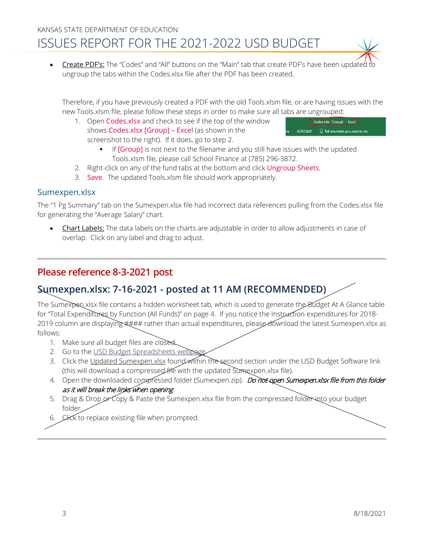**Create PDF's:** The "Codes" and "All" buttons on the "Main" tab that create PDF's have been updated to ungroup the tabs within the Codes.xlsx file after the PDF has been created.

Therefore, if you have previously created a PDF with the old Tools.xlsm file, or are having issues with the new Tools.xlsm file, please follow these steps in order to make sure all tabs are ungrouped:

1. Open Codes.xlsx and check to see if the top of the window shows Codes.xlsx [Group] – Excel (as shown in the screenshot to the right). If it does, go to step 2.



- If **[Group]** is not next to the filename and you still have issues with the updated Tools.xlsm file, please call School Finance at (785) 296-3872.
- 2. Right-click on any of the fund tabs at the bottom and click Ungroup Sheets.
- 3. Save. The updated Tools.xlsm file should work appropriately.

#### Sumexpen.xlsx

The "1 Pg Summary" tab on the Sumexpen.xlsx file had incorrect data references pulling from the Codes.xlsx file for generating the "Average Salary" chart.

**Chart Labels:** The data labels on the charts are adjustable in order to allow adjustments in case of overlap. Click on any label and drag to adjust.

### **Please reference 8-3-2021 post**

## **Sumexpen.xlsx: 7-16-2021 - posted at 11 AM (RECOMMENDED)**

The Sumexpen.xlsx file contains a hidden worksheet tab, which is used to generate the Budget At A Glance table for "Total Expenditures by Function (All Funds)" on page 4. If you notice the Instruction expenditures for 2018- 2019 column are displaying #### rather than actual expenditures, please download the latest Sumexpen.xlsx as follows:

- 1. Make sure all budget files are closed.
- 2. Go to the USD Budget Spreadsheets webpage
- 3. Click the [Updated Sumexpen.xlsx](https://www.ksde.org/Portals/0/School%20Finance/budget/Budget_Software/Sumexpen.xlsx?ver=2021-06-29-151358-797) found within the second section under the USD Budget Software link (this will download a compressed file with the updated Sumexpen.xlsx file).
- 4. Open the downloaded compressed folder (Sumexpen.zip). Do not open Sumexpen.xlsx file from this folder as it will break the links when opening.
- 5. Drag & Drop or Copy & Paste the Sumexpen.xlsx file from the compressed folder into your budget folder.
- 6. Click to replace existing file when prompted.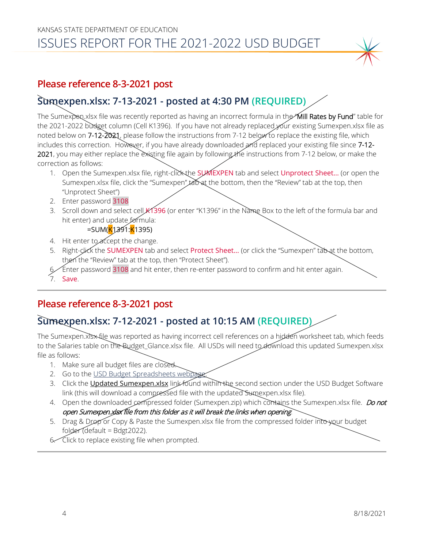# KANSAS STATE DEPARTMENT OF EDUCATION ISSUES REPORT FOR THE 2021-2022 USD BUDGET

#### **Please reference 8-3-2021 post**

# **Sumexpen.xlsx: 7-13-2021 - posted at 4:30 PM (REQUIRED)**

The Sumexpen.xlsx file was recently reported as having an incorrect formula in the "Mill Rates by Fund" table for the 2021-2022 budget column (Cell K1396). If you have not already replaced your existing Sumexpen.xlsx file as noted below on 7-12-2021, please follow the instructions from 7-12 below to replace the existing file, which includes this correction. However, if you have already downloaded and replaced your existing file since 7-12-2021, you may either replace the existing file again by following the instructions from 7-12 below, or make the correction as follows:

- 1. Open the Sumexpen.xlsx file, right-click the SUMEXPEN tab and select Unprotect Sheet... (or open the Sumexpen.xlsx file, click the "Sumexpen" tabat the bottom, then the "Review" tab at the top, then "Unprotect Sheet")
- 2. Enter password 3108
- 3. Scroll down and select cell K1396 (or enter "K1396" in the Name Box to the left of the formula bar and hit enter) and update formula:
	- =SUM(<mark>K</mark>1391:<mark>K</mark>1395)
- 4. Hit enter to accept the change.
- 5. Right-click the SUMEXPEN tab and select Protect Sheet... (or click the "Sumexpen" tab at the bottom, then the "Review" tab at the top, then "Protect Sheet").
- 6. Enter password 3108 and hit enter, then re-enter password to confirm and hit enter again.
- 7. Save.

#### **Please reference 8-3-2021 post**

# **Sumexpen.xlsx: 7-12-2021 - posted at 10:15 AM (REQUIRED)**

The Sumexpen.xlsx file was reported as having incorrect cell references on a hidden worksheet tab, which feeds to the Salaries table on the Budget\_Glance.xlsx file. All USDs will need to download this updated Sumexpen.xlsx file as follows:

- 1. Make sure all budget files are closed.
- 2. Go to the USD Budget Spreadsheets webpage
- 3. Click the [Updated Sumexpen.xlsx](https://www.ksde.org/Portals/0/School%20Finance/budget/Budget_Software/Sumexpen.xlsx?ver=2021-06-29-151358-797) link found within the second section under the USD Budget Software link (this will download a compressed file with the updated Sumexpen.xlsx file).
- 4. Open the downloaded compressed folder (Sumexpen.zip) which contains the Sumexpen.xlsx file. *Do not* open Sumexpen.xlsx file from this folder as it will break the links when opening.
- 5. Drag & Drop or Copy & Paste the Sumexpen.xlsx file from the compressed folder into your budget folder (default = Bdgt2022).
- 6. Click to replace existing file when prompted.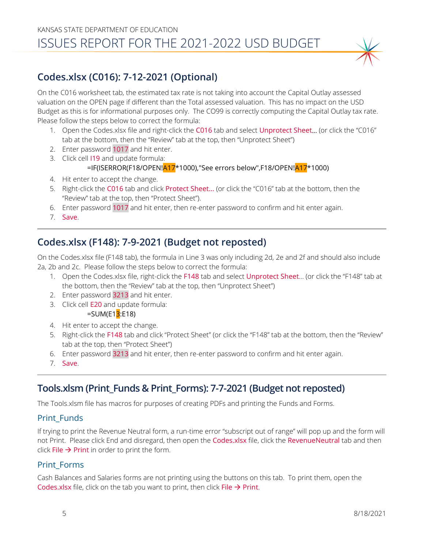# **Codes.xlsx (C016): 7-12-2021 (Optional)**

On the C016 worksheet tab, the estimated tax rate is not taking into account the Capital Outlay assessed valuation on the OPEN page if different than the Total assessed valuation. This has no impact on the USD Budget as this is for informational purposes only. The CO99 is correctly computing the Capital Outlay tax rate. Please follow the steps below to correct the formula:

- 1. Open the Codes.xlsx file and right-click the C016 tab and select Unprotect Sheet… (or click the "C016" tab at the bottom, then the "Review" tab at the top, then "Unprotect Sheet")
- 2. Enter password 1017 and hit enter.
- 3. Click cell I19 and update formula:

#### =IF(ISERROR(F18/OPEN!<mark>A17</mark>\*1000),"See errors below",F18/OPEN!<mark>A17</mark>\*1000)

- 4. Hit enter to accept the change.
- 5. Right-click the C016 tab and click Protect Sheet… (or click the "C016" tab at the bottom, then the "Review" tab at the top, then "Protect Sheet").
- 6. Enter password 1017 and hit enter, then re-enter password to confirm and hit enter again.
- 7. Save.

# **Codes.xlsx (F148): 7-9-2021 (Budget not reposted)**

On the Codes.xlsx file (F148 tab), the formula in Line 3 was only including 2d, 2e and 2f and should also include 2a, 2b and 2c. Please follow the steps below to correct the formula:

1. Open the Codes.xlsx file, right-click the F148 tab and select Unprotect Sheet… (or click the "F148" tab at the bottom, then the "Review" tab at the top, then "Unprotect Sheet")

2. Enter password 3213 and hit enter.

3. Click cell E20 and update formula:

 $=$ SUM(E1 $3$ :E18)

- 4. Hit enter to accept the change.
- 5. Right-click the F148 tab and click "Protect Sheet" (or click the "F148" tab at the bottom, then the "Review" tab at the top, then "Protect Sheet")
- 6. Enter password 3213 and hit enter, then re-enter password to confirm and hit enter again.
- 7. Save.

## **Tools.xlsm (Print\_Funds & Print\_Forms): 7-7-2021 (Budget not reposted)**

The Tools.xlsm file has macros for purposes of creating PDFs and printing the Funds and Forms.

#### Print\_Funds

If trying to print the Revenue Neutral form, a run-time error "subscript out of range" will pop up and the form will not Print. Please click End and disregard, then open the Codes.xlsx file, click the RevenueNeutral tab and then click File  $\rightarrow$  Print in order to print the form.

#### Print\_Forms

Cash Balances and Salaries forms are not printing using the buttons on this tab. To print them, open the Codes.xlsx file, click on the tab you want to print, then click File  $\rightarrow$  Print.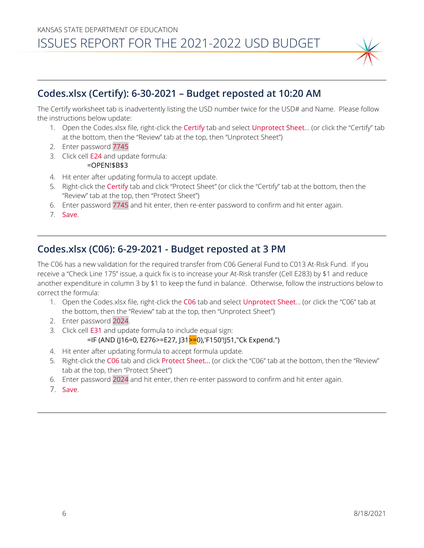

# **Codes.xlsx (Certify): 6-30-2021 – Budget reposted at 10:20 AM**

The Certify worksheet tab is inadvertently listing the USD number twice for the USD# and Name. Please follow the instructions below update:

- 1. Open the Codes.xlsx file, right-click the Certify tab and select Unprotect Sheet… (or click the "Certify" tab at the bottom, then the "Review" tab at the top, then "Unprotect Sheet")
- 2. Enter password 7745
- 3. Click cell E24 and update formula: =OPEN!\$B\$3
- 4. Hit enter after updating formula to accept update.
- 5. Right-click the Certify tab and click "Protect Sheet" (or click the "Certify" tab at the bottom, then the "Review" tab at the top, then "Protect Sheet")
- 6. Enter password 7745 and hit enter, then re-enter password to confirm and hit enter again.
- 7. Save.

## **Codes.xlsx (C06): 6-29-2021 - Budget reposted at 3 PM**

The C06 has a new validation for the required transfer from C06 General Fund to C013 At-Risk Fund. If you receive a "Check Line 175" issue, a quick fix is to increase your At-Risk transfer (Cell E283) by \$1 and reduce another expenditure in column 3 by \$1 to keep the fund in balance. Otherwise, follow the instructions below to correct the formula:

- 1. Open the Codes.xlsx file, right-click the C06 tab and select Unprotect Sheet… (or click the "C06" tab at the bottom, then the "Review" tab at the top, then "Unprotect Sheet")
- 2. Enter password 2024.
- 3. Click cell E31 and update formula to include equal sign:

```
=IF (AND (J16=0, E276>=E27, J31>=0),'F150'!J51,"Ck Expend.")
```
- 4. Hit enter after updating formula to accept formula update.
- 5. Right-click the C06 tab and click Protect Sheet… (or click the "C06" tab at the bottom, then the "Review" tab at the top, then "Protect Sheet")
- 6. Enter password 2024 and hit enter, then re-enter password to confirm and hit enter again.
- 7. Save.